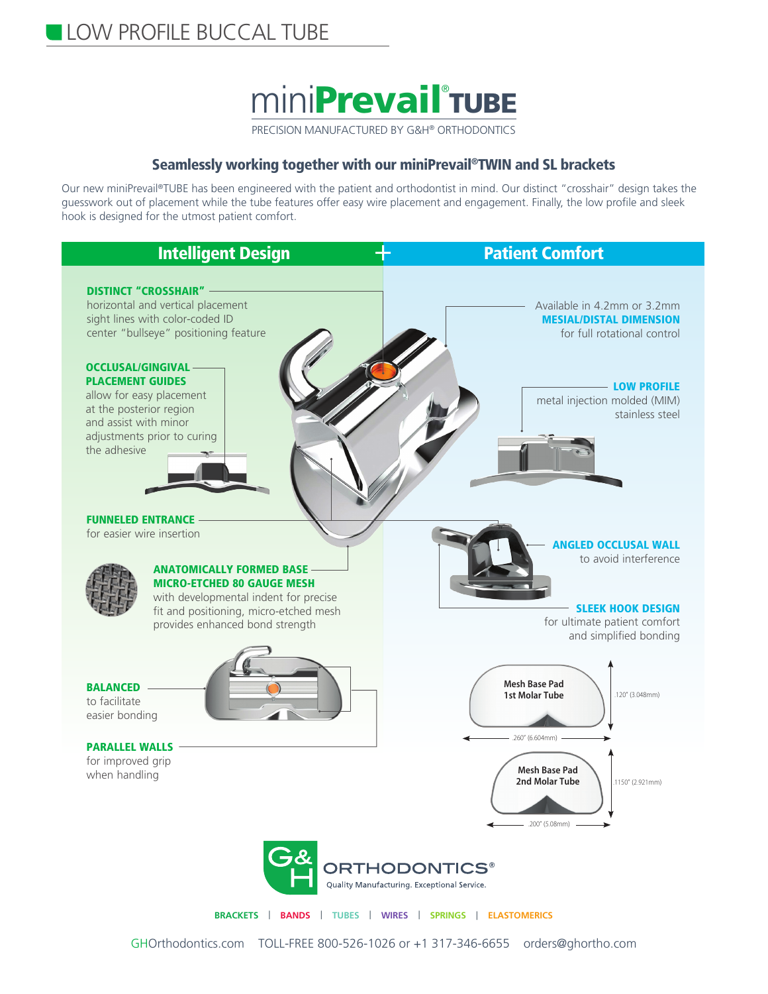

## Seamlessly working together with our miniPrevail®TWIN and SL brackets

Our new miniPrevail®TUBE has been engineered with the patient and orthodontist in mind. Our distinct "crosshair" design takes the guesswork out of placement while the tube features offer easy wire placement and engagement. Finally, the low profile and sleek hook is designed for the utmost patient comfort.



**BRACKETS** | **BANDS** | **TUBES** | **WIRES** | **SPRINGS** | **ELASTOMERICS**